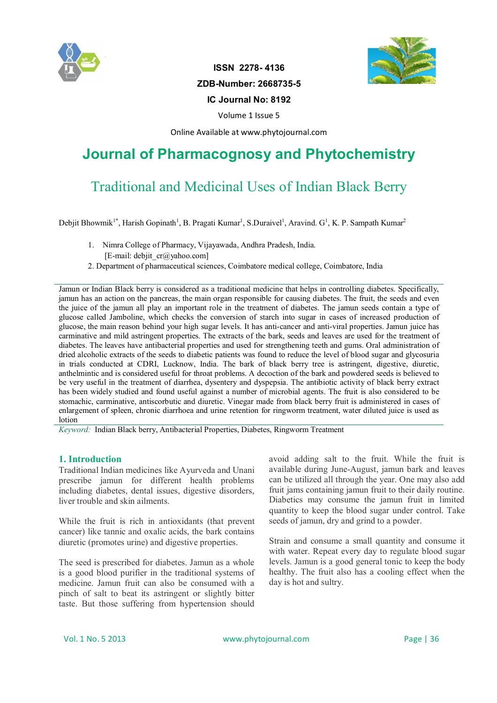

**ISSN 2278- 4136**



#### **ZDB-Number: 2668735-5**

**IC Journal No: 8192**

Volume 1 Issue 5

Online Available at www.phytojournal.com

# **Journal of Pharmacognosy and Phytochemistry**

# Traditional and Medicinal Uses of Indian Black Berry

Debjit Bhowmik<sup>1\*</sup>, Harish Gopinath<sup>1</sup>, B. Pragati Kumar<sup>1</sup>, S.Duraivel<sup>1</sup>, Aravind. G<sup>1</sup>, K. P. Sampath Kumar<sup>2</sup>

- 1. Nimra College of Pharmacy, Vijayawada, Andhra Pradesh, India. [E-mail: debjit\_cr@yahoo.com]
- 2. Department of pharmaceutical sciences, Coimbatore medical college, Coimbatore, India

Jamun or Indian Black berry is considered as a traditional medicine that helps in controlling diabetes. Specifically, jamun has an action on the pancreas, the main organ responsible for causing diabetes. The fruit, the seeds and even the juice of the jamun all play an important role in the treatment of diabetes. The jamun seeds contain a type of glucose called Jamboline, which checks the conversion of starch into sugar in cases of increased production of glucose, the main reason behind your high sugar levels. It has anti-cancer and anti-viral properties. Jamun juice has carminative and mild astringent properties. The extracts of the bark, seeds and leaves are used for the treatment of diabetes. The leaves have antibacterial properties and used for strengthening teeth and gums. Oral administration of dried alcoholic extracts of the seeds to diabetic patients was found to reduce the level of blood sugar and glycosuria in trials conducted at CDRI, Lucknow, India. The bark of black berry tree is astringent, digestive, diuretic, anthelmintic and is considered useful for throat problems. A decoction of the bark and powdered seeds is believed to be very useful in the treatment of diarrhea, dysentery and dyspepsia. The antibiotic activity of black berry extract has been widely studied and found useful against a number of microbial agents. The fruit is also considered to be stomachic, carminative, antiscorbutic and diuretic. Vinegar made from black berry fruit is administered in cases of enlargement of spleen, chronic diarrhoea and urine retention for ringworm treatment, water diluted juice is used as lotion

*Keyword:* Indian Black berry, Antibacterial Properties, Diabetes, Ringworm Treatment

#### **1. Introduction**

Traditional Indian medicines like Ayurveda and Unani prescribe jamun for different health problems including diabetes, dental issues, digestive disorders, liver trouble and skin ailments.

While the fruit is rich in antioxidants (that prevent cancer) like tannic and oxalic acids, the bark contains diuretic (promotes urine) and digestive properties.

The seed is prescribed for diabetes. Jamun as a whole is a good blood purifier in the traditional systems of medicine. Jamun fruit can also be consumed with a pinch of salt to beat its astringent or slightly bitter taste. But those suffering from hypertension should avoid adding salt to the fruit. While the fruit is available during June-August, jamun bark and leaves can be utilized all through the year. One may also add fruit jams containing jamun fruit to their daily routine. Diabetics may consume the jamun fruit in limited quantity to keep the blood sugar under control. Take seeds of jamun, dry and grind to a powder.

Strain and consume a small quantity and consume it with water. Repeat every day to regulate blood sugar levels. Jamun is a good general tonic to keep the body healthy. The fruit also has a cooling effect when the day is hot and sultry.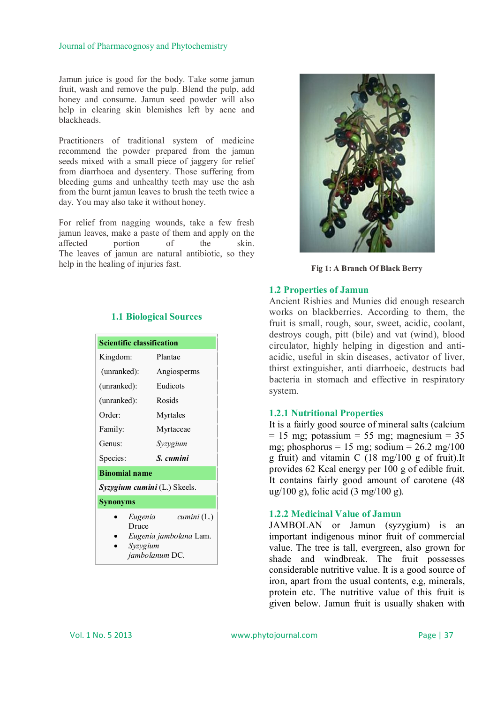#### Journal of Pharmacognosy and Phytochemistry

Jamun juice is good for the body. Take some jamun fruit, wash and remove the pulp. Blend the pulp, add honey and consume. Jamun seed powder will also help in clearing skin blemishes left by acne and blackheads.

Practitioners of traditional system of medicine recommend the powder prepared from the jamun seeds mixed with a small piece of jaggery for relief from diarrhoea and dysentery. Those suffering from bleeding gums and unhealthy teeth may use the ash from the burnt jamun leaves to brush the teeth twice a day. You may also take it without honey.

For relief from nagging wounds, take a few fresh jamun leaves, make a paste of them and apply on the affected portion of the skin. The leaves of jamun are natural antibiotic, so they help in the healing of injuries fast.

| <b>Scientific classification</b>                                      |             |
|-----------------------------------------------------------------------|-------------|
| Kingdom:                                                              | Plantae     |
| (unranked):                                                           | Angiosperms |
| (unranked):                                                           | Eudicots    |
| (unranked):                                                           | Rosids      |
| Order:                                                                | Myrtales    |
| Family:                                                               | Myrtaceae   |
| Genus:                                                                | Syzygium    |
| Species:                                                              | S. cumini   |
| <b>Binomial name</b>                                                  |             |
| Syzygium cumini (L.) Skeels.                                          |             |
| Synonyms                                                              |             |
| cumini (L.)<br>Eugenia<br>Druce<br>Eugenia jambolana Lam.<br>Svzveium |             |

#### **1.1 Biological Sources**

- *Syzygium*
- *jambolanum* DC.



**Fig 1: A Branch Of Black Berry**

## **1.2 Properties of Jamun**

Ancient Rishies and Munies did enough research works on blackberries. According to them, the fruit is small, rough, sour, sweet, acidic, coolant, destroys cough, pitt (bile) and vat (wind), blood circulator, highly helping in digestion and antiacidic, useful in skin diseases, activator of liver, thirst extinguisher, anti diarrhoeic, destructs bad bacteria in stomach and effective in respiratory system.

#### **1.2.1 Nutritional Properties**

It is a fairly good source of mineral salts (calcium  $= 15$  mg; potassium  $= 55$  mg; magnesium  $= 35$ mg; phosphorus = 15 mg; sodium =  $26.2 \text{ mg}/100$ g fruit) and vitamin C (18 mg/100 g of fruit).It provides 62 Kcal energy per 100 g of edible fruit. It contains fairly good amount of carotene (48 ug/100 g), folic acid  $(3 \text{ mg}/100 \text{ g})$ .

### **1.2.2 Medicinal Value of Jamun**

JAMBOLAN or Jamun (syzygium) is an important indigenous minor fruit of commercial value. The tree is tall, evergreen, also grown for shade and windbreak. The fruit possesses considerable nutritive value. It is a good source of iron, apart from the usual contents, e.g, minerals, protein etc. The nutritive value of this fruit is given below. Jamun fruit is usually shaken with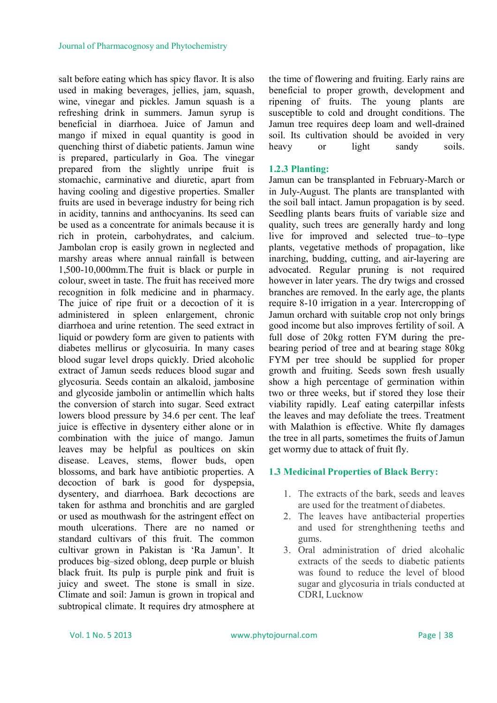salt before eating which has spicy flavor. It is also used in making beverages, jellies, jam, squash, wine, vinegar and pickles. Jamun squash is a refreshing drink in summers. Jamun syrup is beneficial in diarrhoea. Juice of Jamun and mango if mixed in equal quantity is good in quenching thirst of diabetic patients. Jamun wine is prepared, particularly in Goa. The vinegar prepared from the slightly unripe fruit is stomachic, carminative and diuretic, apart from having cooling and digestive properties. Smaller fruits are used in beverage industry for being rich in acidity, tannins and anthocyanins. Its seed can be used as a concentrate for animals because it is rich in protein, carbohydrates, and calcium. Jambolan crop is easily grown in neglected and marshy areas where annual rainfall is between 1,500-10,000mm.The fruit is black or purple in colour, sweet in taste. The fruit has received more recognition in folk medicine and in pharmacy. The juice of ripe fruit or a decoction of it is administered in spleen enlargement, chronic diarrhoea and urine retention. The seed extract in liquid or powdery form are given to patients with diabetes mellirus or glycosuiria. In many cases blood sugar level drops quickly. Dried alcoholic extract of Jamun seeds reduces blood sugar and glycosuria. Seeds contain an alkaloid, jambosine and glycoside jambolin or antimellin which halts the conversion of starch into sugar. Seed extract lowers blood pressure by 34.6 per cent. The leaf juice is effective in dysentery either alone or in combination with the juice of mango. Jamun leaves may be helpful as poultices on skin disease. Leaves, stems, flower buds, open blossoms, and bark have antibiotic properties. A decoction of bark is good for dyspepsia, dysentery, and diarrhoea. Bark decoctions are taken for asthma and bronchitis and are gargled or used as mouthwash for the astringent effect on mouth ulcerations. There are no named or standard cultivars of this fruit. The common cultivar grown in Pakistan is 'Ra Jamun'. It produces big–sized oblong, deep purple or bluish black fruit. Its pulp is purple pink and fruit is juicy and sweet. The stone is small in size. Climate and soil: Jamun is grown in tropical and subtropical climate. It requires dry atmosphere at the time of flowering and fruiting. Early rains are beneficial to proper growth, development and ripening of fruits. The young plants are susceptible to cold and drought conditions. The Jamun tree requires deep loam and well-drained soil. Its cultivation should be avoided in very heavy or light sandy soils.

### **1.2.3 Planting:**

Jamun can be transplanted in February-March or in July-August. The plants are transplanted with the soil ball intact. Jamun propagation is by seed. Seedling plants bears fruits of variable size and quality, such trees are generally hardy and long live for improved and selected true–to–type plants, vegetative methods of propagation, like inarching, budding, cutting, and air-layering are advocated. Regular pruning is not required however in later years. The dry twigs and crossed branches are removed. In the early age, the plants require 8-10 irrigation in a year. Intercropping of Jamun orchard with suitable crop not only brings good income but also improves fertility of soil. A full dose of 20kg rotten FYM during the prebearing period of tree and at bearing stage 80kg FYM per tree should be supplied for proper growth and fruiting. Seeds sown fresh usually show a high percentage of germination within two or three weeks, but if stored they lose their viability rapidly. Leaf eating caterpillar infests the leaves and may defoliate the trees. Treatment with Malathion is effective. White fly damages the tree in all parts, sometimes the fruits of Jamun get wormy due to attack of fruit fly.

# **1.3 Medicinal Properties of Black Berry:**

- 1. The extracts of the bark, seeds and leaves are used for the treatment of diabetes.
- 2. The leaves have antibacterial properties and used for strenghthening teeths and gums.
- 3. Oral administration of dried alcohalic extracts of the seeds to diabetic patients was found to reduce the level of blood sugar and glycosuria in trials conducted at CDRI, Lucknow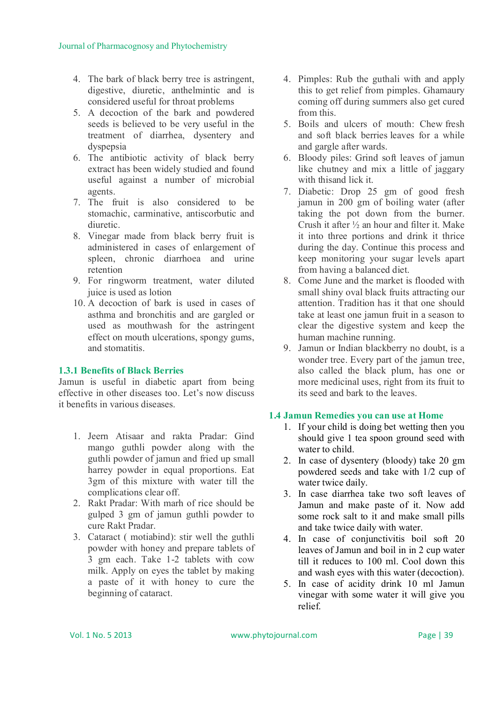- 4. The bark of black berry tree is astringent, digestive, diuretic, anthelmintic and is considered useful for throat problems
- 5. A decoction of the bark and powdered seeds is believed to be very useful in the treatment of diarrhea, dysentery and dyspepsia
- 6. The antibiotic activity of black berry extract has been widely studied and found useful against a number of microbial agents.
- 7. The fruit is also considered to be stomachic, carminative, antiscorbutic and diuretic.
- 8. Vinegar made from black berry fruit is administered in cases of enlargement of spleen, chronic diarrhoea and urine retention
- 9. For ringworm treatment, water diluted juice is used as lotion
- 10. A decoction of bark is used in cases of asthma and bronchitis and are gargled or used as mouthwash for the astringent effect on mouth ulcerations, spongy gums, and stomatitis.

# **1.3.1 Benefits of Black Berries**

Jamun is useful in diabetic apart from being effective in other diseases too. Let's now discuss it benefits in various diseases.

- 1. Jeern Atisaar and rakta Pradar: Gind mango guthli powder along with the guthli powder of jamun and fried up small harrey powder in equal proportions. Eat 3gm of this mixture with water till the complications clear off.
- 2. Rakt Pradar: With marh of rice should be gulped 3 gm of jamun guthli powder to cure Rakt Pradar.
- 3. Cataract ( motiabind): stir well the guthli powder with honey and prepare tablets of 3 gm each. Take 1-2 tablets with cow milk. Apply on eyes the tablet by making a paste of it with honey to cure the beginning of cataract.
- 4. Pimples: Rub the guthali with and apply this to get relief from pimples. Ghamaury coming off during summers also get cured from this.
- 5. Boils and ulcers of mouth: Chew fresh and soft black berries leaves for a while and gargle after wards.
- 6. Bloody piles: Grind soft leaves of jamun like chutney and mix a little of jaggary with thisand lick it.
- 7. Diabetic: Drop 25 gm of good fresh jamun in 200 gm of boiling water (after taking the pot down from the burner. Crush it after ½ an hour and filter it. Make it into three portions and drink it thrice during the day. Continue this process and keep monitoring your sugar levels apart from having a balanced diet.
- 8. Come June and the market is flooded with small shiny oval black fruits attracting our attention. Tradition has it that one should take at least one jamun fruit in a season to clear the digestive system and keep the human machine running.
- 9. Jamun or Indian blackberry no doubt, is a wonder tree. Every part of the jamun tree, also called the black plum, has one or more medicinal uses, right from its fruit to its seed and bark to the leaves.

# **1.4 Jamun Remedies you can use at Home**

- 1. If your child is doing bet wetting then you should give 1 tea spoon ground seed with water to child.
- 2. In case of dysentery (bloody) take 20 gm powdered seeds and take with 1/2 cup of water twice daily.
- 3. In case diarrhea take two soft leaves of Jamun and make paste of it. Now add some rock salt to it and make small pills and take twice daily with water.
- 4. In case of conjunctivitis boil soft 20 leaves of Jamun and boil in in 2 cup water till it reduces to 100 ml. Cool down this and wash eyes with this water (decoction).
- 5. In case of acidity drink 10 ml Jamun vinegar with some water it will give you relief.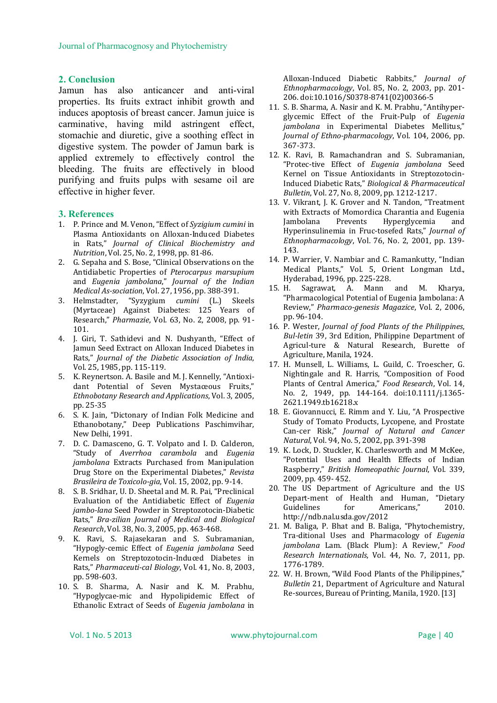#### **2. Conclusion**

Jamun has also anticancer and anti-viral properties. Its fruits extract inhibit growth and induces apoptosis of breast cancer. Jamun juice is carminative, having mild astringent effect, stomachie and diuretic, give a soothing effect in digestive system. The powder of Jamun bark is applied extremely to effectively control the bleeding. The fruits are effectively in blood purifying and fruits pulps with sesame oil are effective in higher fever.

#### **3. References**

- 1. P. Prince and M. Venon, "Effect of *Syzigium cumini* in Plasma Antioxidants on Alloxan-Induced Diabetes in Rats," *Journal of Clinical Biochemistry and Nutrition*, Vol. 25, No. 2, 1998, pp. 81-86.
- 2. G. Sepaha and S. Bose, "Clinical Observations on the Antidiabetic Properties of *Pterocarpus marsupium*  and *Eugenia jambolana*," *Journal of the Indian Medical As-sociation*, Vol. 27, 1956, pp. 388-391.
- 3. Helmstadter, "Syzygium *cumini* (L.) Skeels (Myrtaceae) Against Diabetes: 125 Years of Research," *Pharmazie*, Vol. 63, No. 2, 2008, pp. 91- 101.
- 4. J. Giri, T. Sathidevi and N. Dushyanth, "Effect of Jamun Seed Extract on Alloxan Induced Diabetes in Rats," *Journal of the Diabetic Association of India*, Vol. 25, 1985, pp. 115-119.
- 5. K. Reynertson. A. Basile and M. J. Kennelly, "Antioxidant Potential of Seven Mystaceous Fruits," *Ethnobotany Research and Applications*, Vol. 3, 2005, pp. 25-35
- 6. S. K. Jain, "Dictonary of Indian Folk Medicine and Ethanobotany," Deep Publications Paschimvihar, New Delhi, 1991.
- 7. D. C. Damasceno, G. T. Volpato and I. D. Calderon, "Study of *Averrhoa carambola* and *Eugenia jambolana* Extracts Purchased from Manipulation Drug Store on the Experimental Diabetes," *Revista Brasileira de Toxicolo-gia*, Vol. 15, 2002, pp. 9-14.
- 8. S. B. Sridhar, U. D. Sheetal and M. R. Pai, "Preclinical Evaluation of the Antidiabetic Effect of *Eugenia jambo-lana* Seed Powder in Streptozotocin-Diabetic Rats," *Bra-zilian Journal of Medical and Biological Research*, Vol. 38, No. 3, 2005, pp. 463-468.
- 9. K. Ravi, S. Rajasekaran and S. Subramanian, "Hypogly-cemic Effect of *Eugenia jambolana* Seed Kernels on Streptozotocin-Induced Diabetes in Rats," *Pharmaceuti-cal Biology*, Vol. 41, No. 8, 2003, pp. 598-603.
- 10. S. B. Sharma, A. Nasir and K. M. Prabhu, "Hypoglycae-mic and Hypolipidemic Effect of Ethanolic Extract of Seeds of *Eugenia jambolana* in

Alloxan-Induced Diabetic Rabbits," *Journal of Ethnopharmacology*, Vol. 85, No. 2, 2003, pp. 201- 206. doi:10.1016/S0378-8741(02)00366-5

- 11. S. B. Sharma, A. Nasir and K. M. Prabhu, "Antihyperglycemic Effect of the Fruit-Pulp of *Eugenia jambolana* in Experimental Diabetes Mellitus," *Journal of Ethno-pharmacology*, Vol. 104, 2006, pp. 367-373.
- 12. K. Ravi, B. Ramachandran and S. Subramanian, "Protec-tive Effect of *Eugenia jambolana* Seed Kernel on Tissue Antioxidants in Streptozotocin-Induced Diabetic Rats," *Biological & Pharmaceutical Bulletin*, Vol. 27, No. 8, 2009, pp. 1212-1217.
- 13. V. Vikrant, J. K. Grover and N. Tandon, "Treatment with Extracts of Momordica Charantia and Eugenia Jambolana Prevents Hyperglycemia and Hyperinsulinemia in Fruc-tosefed Rats," *Journal of Ethnopharmacology*, Vol. 76, No. 2, 2001, pp. 139- 143.
- 14. P. Warrier, V. Nambiar and C. Ramankutty, "Indian Medical Plants," Vol. 5, Orient Longman Ltd., Hyderabad, 1996, pp. 225-228.
- 15. H. Sagrawat, A. Mann and M. Kharya, "Pharmacological Potential of Eugenia Jambolana: A Review," *Pharmaco-genesis Magazice*, Vol. 2, 2006, pp. 96-104.
- 16. P. Wester, *Journal of food Plants of the Philippines*, *Bul-letin* 39, 3rd Edition, Philippine Department of Agricul-ture & Natural Research, Burette of Agriculture, Manila, 1924.
- 17. H. Munsell, L. Williams, L. Guild, C. Troescher, G. Nightingale and R. Harris, "Composition of Food Plants of Central America," *Food Research*, Vol. 14, No. 2, 1949, pp. 144-164. doi:10.1111/j.1365- 2621.1949.tb16218.x
- 18. E. Giovannucci, E. Rimm and Y. Liu, "A Prospective Study of Tomato Products, Lycopene, and Prostate Can-cer Risk," *Journal of Natural and Cancer Natural*, Vol. 94, No. 5, 2002, pp. 391-398
- 19. K. Lock, D. Stuckler, K. Charlesworth and M McKee, "Potential Uses and Health Effects of Indian Raspberry," *British Homeopathic Journal*, Vol. 339, 2009, pp. 459- 452.
- 20. The US Department of Agriculture and the US Depart-ment of Health and Human, "Dietary Guidelines for Americans," 2010. http://ndb.nal.usda.gov/2012
- 21. M. Baliga, P. Bhat and B. Baliga, "Phytochemistry, Tra-ditional Uses and Pharmacology of *Eugenia jambolana* Lam. (Black Plum): A Review," *Food Research Internationals*, Vol. 44, No. 7, 2011, pp. 1776-1789.
- 22. W. H. Brown, "Wild Food Plants of the Philippines," *Bulletin* 21, Department of Agriculture and Natural Re-sources, Bureau of Printing, Manila, 1920. [13]